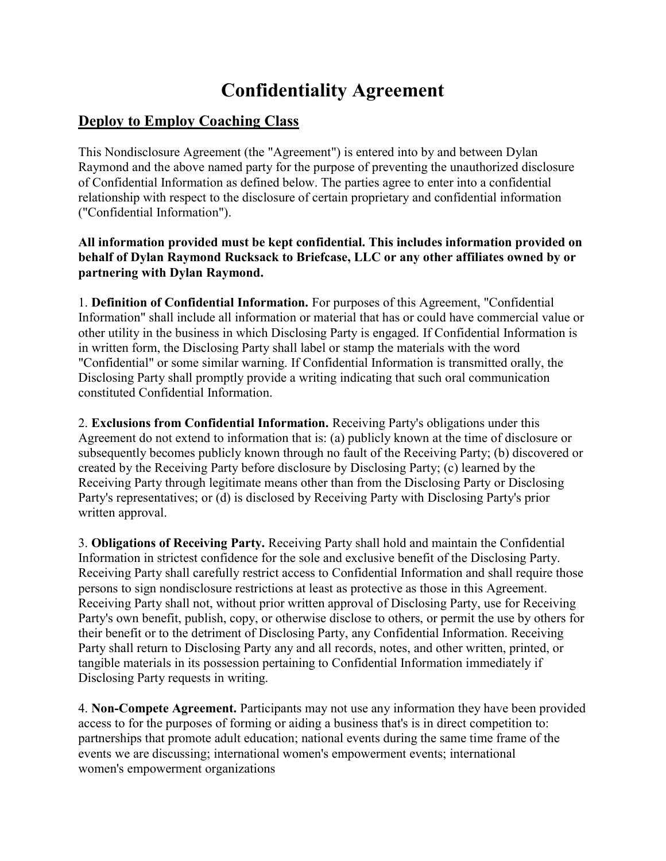# Confidentiality Agreement

#### Deploy to Employ Coaching Class

This Nondisclosure Agreement (the "Agreement") is entered into by and between Dylan Raymond and the above named party for the purpose of preventing the unauthorized disclosure of Confidential Information as defined below. The parties agree to enter into a confidential relationship with respect to the disclosure of certain proprietary and confidential information ("Confidential Information").

#### All information provided must be kept confidential. This includes information provided on behalf of Dylan Raymond Rucksack to Briefcase, LLC or any other affiliates owned by or partnering with Dylan Raymond.

1. Definition of Confidential Information. For purposes of this Agreement, "Confidential Information" shall include all information or material that has or could have commercial value or other utility in the business in which Disclosing Party is engaged. If Confidential Information is in written form, the Disclosing Party shall label or stamp the materials with the word "Confidential" or some similar warning. If Confidential Information is transmitted orally, the Disclosing Party shall promptly provide a writing indicating that such oral communication constituted Confidential Information.

2. Exclusions from Confidential Information. Receiving Party's obligations under this Agreement do not extend to information that is: (a) publicly known at the time of disclosure or subsequently becomes publicly known through no fault of the Receiving Party; (b) discovered or created by the Receiving Party before disclosure by Disclosing Party; (c) learned by the Receiving Party through legitimate means other than from the Disclosing Party or Disclosing Party's representatives; or (d) is disclosed by Receiving Party with Disclosing Party's prior written approval.

3. Obligations of Receiving Party. Receiving Party shall hold and maintain the Confidential Information in strictest confidence for the sole and exclusive benefit of the Disclosing Party. Receiving Party shall carefully restrict access to Confidential Information and shall require those persons to sign nondisclosure restrictions at least as protective as those in this Agreement. Receiving Party shall not, without prior written approval of Disclosing Party, use for Receiving Party's own benefit, publish, copy, or otherwise disclose to others, or permit the use by others for their benefit or to the detriment of Disclosing Party, any Confidential Information. Receiving Party shall return to Disclosing Party any and all records, notes, and other written, printed, or tangible materials in its possession pertaining to Confidential Information immediately if Disclosing Party requests in writing.

4. Non-Compete Agreement. Participants may not use any information they have been provided access to for the purposes of forming or aiding a business that's is in direct competition to: partnerships that promote adult education; national events during the same time frame of the events we are discussing; international women's empowerment events; international women's empowerment organizations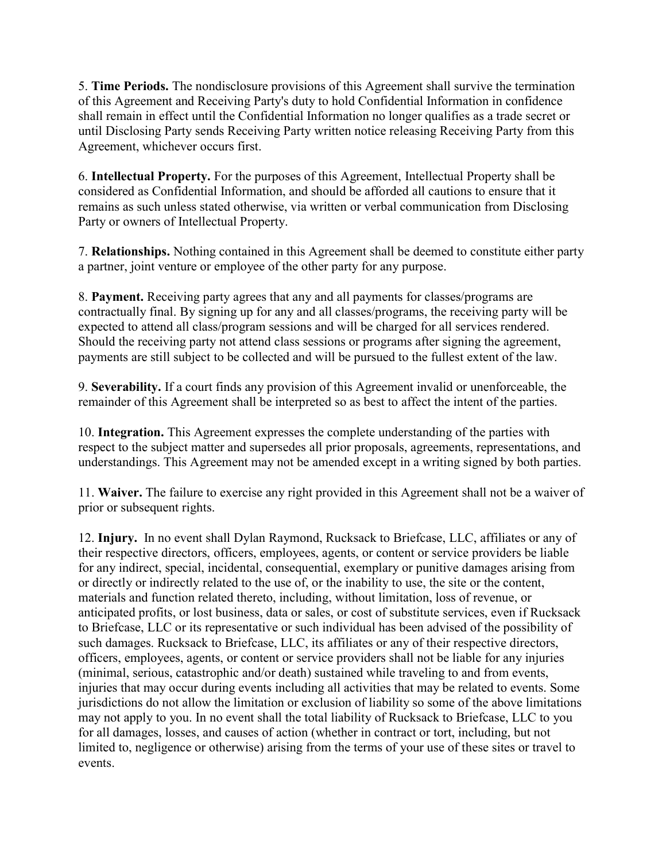5. Time Periods. The nondisclosure provisions of this Agreement shall survive the termination of this Agreement and Receiving Party's duty to hold Confidential Information in confidence shall remain in effect until the Confidential Information no longer qualifies as a trade secret or until Disclosing Party sends Receiving Party written notice releasing Receiving Party from this Agreement, whichever occurs first.

6. Intellectual Property. For the purposes of this Agreement, Intellectual Property shall be considered as Confidential Information, and should be afforded all cautions to ensure that it remains as such unless stated otherwise, via written or verbal communication from Disclosing Party or owners of Intellectual Property.

7. Relationships. Nothing contained in this Agreement shall be deemed to constitute either party a partner, joint venture or employee of the other party for any purpose.

8. Payment. Receiving party agrees that any and all payments for classes/programs are contractually final. By signing up for any and all classes/programs, the receiving party will be expected to attend all class/program sessions and will be charged for all services rendered. Should the receiving party not attend class sessions or programs after signing the agreement, payments are still subject to be collected and will be pursued to the fullest extent of the law.

9. Severability. If a court finds any provision of this Agreement invalid or unenforceable, the remainder of this Agreement shall be interpreted so as best to affect the intent of the parties.

10. Integration. This Agreement expresses the complete understanding of the parties with respect to the subject matter and supersedes all prior proposals, agreements, representations, and understandings. This Agreement may not be amended except in a writing signed by both parties.

11. Waiver. The failure to exercise any right provided in this Agreement shall not be a waiver of prior or subsequent rights.

12. Injury. In no event shall Dylan Raymond, Rucksack to Briefcase, LLC, affiliates or any of their respective directors, officers, employees, agents, or content or service providers be liable for any indirect, special, incidental, consequential, exemplary or punitive damages arising from or directly or indirectly related to the use of, or the inability to use, the site or the content, materials and function related thereto, including, without limitation, loss of revenue, or anticipated profits, or lost business, data or sales, or cost of substitute services, even if Rucksack to Briefcase, LLC or its representative or such individual has been advised of the possibility of such damages. Rucksack to Briefcase, LLC, its affiliates or any of their respective directors, officers, employees, agents, or content or service providers shall not be liable for any injuries (minimal, serious, catastrophic and/or death) sustained while traveling to and from events, injuries that may occur during events including all activities that may be related to events. Some jurisdictions do not allow the limitation or exclusion of liability so some of the above limitations may not apply to you. In no event shall the total liability of Rucksack to Briefcase, LLC to you for all damages, losses, and causes of action (whether in contract or tort, including, but not limited to, negligence or otherwise) arising from the terms of your use of these sites or travel to events.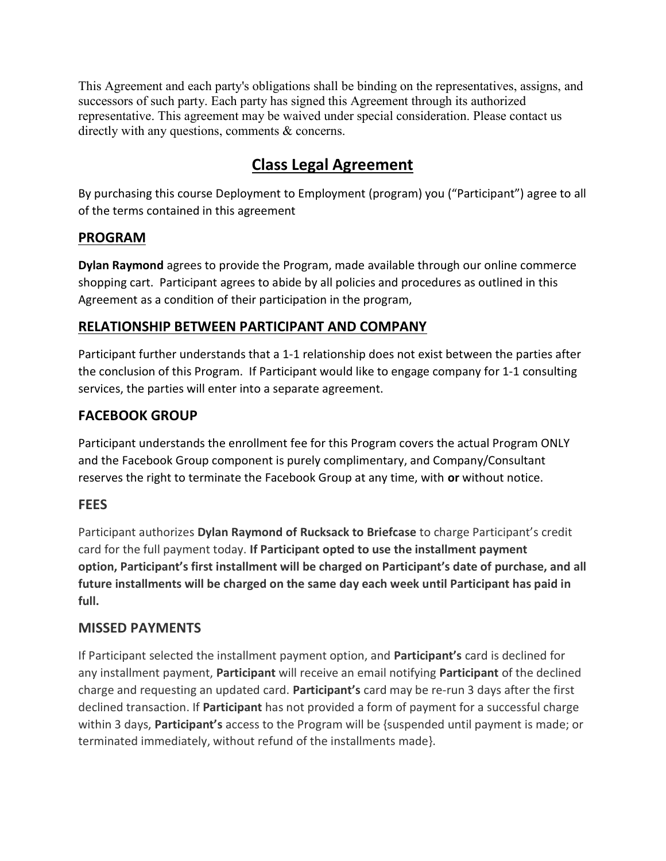This Agreement and each party's obligations shall be binding on the representatives, assigns, and successors of such party. Each party has signed this Agreement through its authorized representative. This agreement may be waived under special consideration. Please contact us directly with any questions, comments & concerns.

## Class Legal Agreement

By purchasing this course Deployment to Employment (program) you ("Participant") agree to all of the terms contained in this agreement

#### PROGRAM

Dylan Raymond agrees to provide the Program, made available through our online commerce shopping cart. Participant agrees to abide by all policies and procedures as outlined in this Agreement as a condition of their participation in the program,

### RELATIONSHIP BETWEEN PARTICIPANT AND COMPANY

Participant further understands that a 1-1 relationship does not exist between the parties after the conclusion of this Program. If Participant would like to engage company for 1-1 consulting services, the parties will enter into a separate agreement.

### FACEBOOK GROUP

Participant understands the enrollment fee for this Program covers the actual Program ONLY and the Facebook Group component is purely complimentary, and Company/Consultant reserves the right to terminate the Facebook Group at any time, with or without notice.

#### **FEES**

Participant authorizes Dylan Raymond of Rucksack to Briefcase to charge Participant's credit card for the full payment today. If Participant opted to use the installment payment option, Participant's first installment will be charged on Participant's date of purchase, and all future installments will be charged on the same day each week until Participant has paid in full.

#### MISSED PAYMENTS

If Participant selected the installment payment option, and Participant's card is declined for any installment payment, **Participant** will receive an email notifying **Participant** of the declined charge and requesting an updated card. Participant's card may be re-run 3 days after the first declined transaction. If Participant has not provided a form of payment for a successful charge within 3 days, **Participant's** access to the Program will be {suspended until payment is made; or terminated immediately, without refund of the installments made}.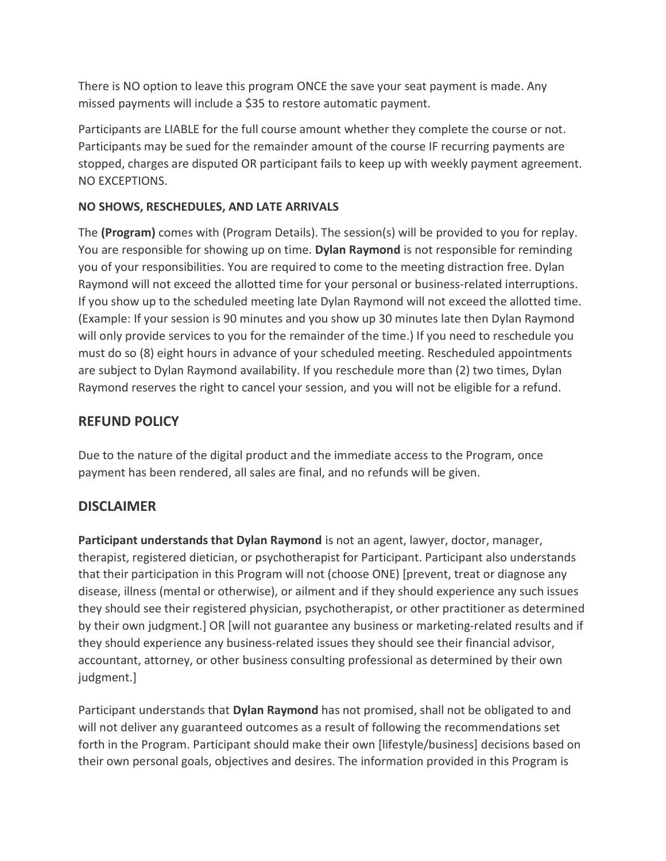There is NO option to leave this program ONCE the save your seat payment is made. Any missed payments will include a \$35 to restore automatic payment.

Participants are LIABLE for the full course amount whether they complete the course or not. Participants may be sued for the remainder amount of the course IF recurring payments are stopped, charges are disputed OR participant fails to keep up with weekly payment agreement. NO EXCEPTIONS.

#### NO SHOWS, RESCHEDULES, AND LATE ARRIVALS

The (Program) comes with (Program Details). The session(s) will be provided to you for replay. You are responsible for showing up on time. Dylan Raymond is not responsible for reminding you of your responsibilities. You are required to come to the meeting distraction free. Dylan Raymond will not exceed the allotted time for your personal or business-related interruptions. If you show up to the scheduled meeting late Dylan Raymond will not exceed the allotted time. (Example: If your session is 90 minutes and you show up 30 minutes late then Dylan Raymond will only provide services to you for the remainder of the time.) If you need to reschedule you must do so (8) eight hours in advance of your scheduled meeting. Rescheduled appointments are subject to Dylan Raymond availability. If you reschedule more than (2) two times, Dylan Raymond reserves the right to cancel your session, and you will not be eligible for a refund.

#### REFUND POLICY

Due to the nature of the digital product and the immediate access to the Program, once payment has been rendered, all sales are final, and no refunds will be given.

#### **DISCLAIMER**

Participant understands that Dylan Raymond is not an agent, lawyer, doctor, manager, therapist, registered dietician, or psychotherapist for Participant. Participant also understands that their participation in this Program will not (choose ONE) [prevent, treat or diagnose any disease, illness (mental or otherwise), or ailment and if they should experience any such issues they should see their registered physician, psychotherapist, or other practitioner as determined by their own judgment.] OR [will not guarantee any business or marketing-related results and if they should experience any business-related issues they should see their financial advisor, accountant, attorney, or other business consulting professional as determined by their own judgment.]

Participant understands that Dylan Raymond has not promised, shall not be obligated to and will not deliver any guaranteed outcomes as a result of following the recommendations set forth in the Program. Participant should make their own [lifestyle/business] decisions based on their own personal goals, objectives and desires. The information provided in this Program is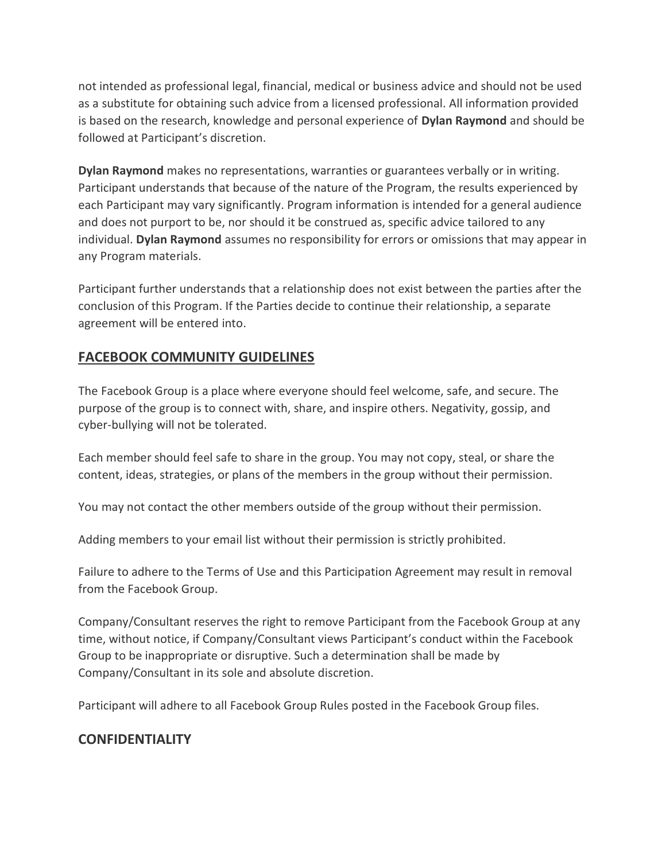not intended as professional legal, financial, medical or business advice and should not be used as a substitute for obtaining such advice from a licensed professional. All information provided is based on the research, knowledge and personal experience of **Dylan Raymond** and should be followed at Participant's discretion.

Dylan Raymond makes no representations, warranties or guarantees verbally or in writing. Participant understands that because of the nature of the Program, the results experienced by each Participant may vary significantly. Program information is intended for a general audience and does not purport to be, nor should it be construed as, specific advice tailored to any individual. Dylan Raymond assumes no responsibility for errors or omissions that may appear in any Program materials.

Participant further understands that a relationship does not exist between the parties after the conclusion of this Program. If the Parties decide to continue their relationship, a separate agreement will be entered into.

### FACEBOOK COMMUNITY GUIDELINES

The Facebook Group is a place where everyone should feel welcome, safe, and secure. The purpose of the group is to connect with, share, and inspire others. Negativity, gossip, and cyber-bullying will not be tolerated.

Each member should feel safe to share in the group. You may not copy, steal, or share the content, ideas, strategies, or plans of the members in the group without their permission.

You may not contact the other members outside of the group without their permission.

Adding members to your email list without their permission is strictly prohibited.

Failure to adhere to the Terms of Use and this Participation Agreement may result in removal from the Facebook Group.

Company/Consultant reserves the right to remove Participant from the Facebook Group at any time, without notice, if Company/Consultant views Participant's conduct within the Facebook Group to be inappropriate or disruptive. Such a determination shall be made by Company/Consultant in its sole and absolute discretion.

Participant will adhere to all Facebook Group Rules posted in the Facebook Group files.

#### **CONFIDENTIALITY**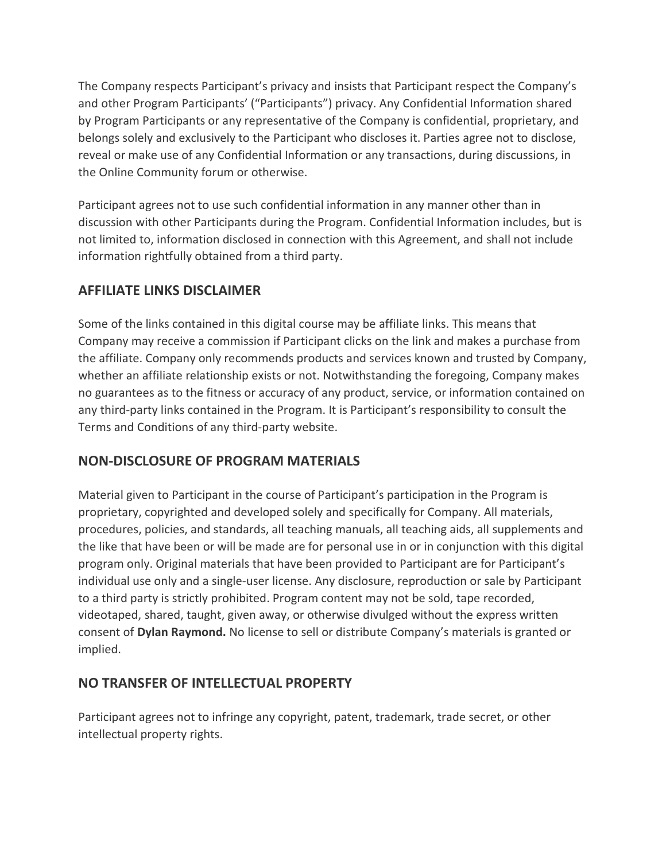The Company respects Participant's privacy and insists that Participant respect the Company's and other Program Participants' ("Participants") privacy. Any Confidential Information shared by Program Participants or any representative of the Company is confidential, proprietary, and belongs solely and exclusively to the Participant who discloses it. Parties agree not to disclose, reveal or make use of any Confidential Information or any transactions, during discussions, in the Online Community forum or otherwise.

Participant agrees not to use such confidential information in any manner other than in discussion with other Participants during the Program. Confidential Information includes, but is not limited to, information disclosed in connection with this Agreement, and shall not include information rightfully obtained from a third party.

#### AFFILIATE LINKS DISCLAIMER

Some of the links contained in this digital course may be affiliate links. This means that Company may receive a commission if Participant clicks on the link and makes a purchase from the affiliate. Company only recommends products and services known and trusted by Company, whether an affiliate relationship exists or not. Notwithstanding the foregoing, Company makes no guarantees as to the fitness or accuracy of any product, service, or information contained on any third-party links contained in the Program. It is Participant's responsibility to consult the Terms and Conditions of any third-party website.

## NON-DISCLOSURE OF PROGRAM MATERIALS

Material given to Participant in the course of Participant's participation in the Program is proprietary, copyrighted and developed solely and specifically for Company. All materials, procedures, policies, and standards, all teaching manuals, all teaching aids, all supplements and the like that have been or will be made are for personal use in or in conjunction with this digital program only. Original materials that have been provided to Participant are for Participant's individual use only and a single-user license. Any disclosure, reproduction or sale by Participant to a third party is strictly prohibited. Program content may not be sold, tape recorded, videotaped, shared, taught, given away, or otherwise divulged without the express written consent of Dylan Raymond. No license to sell or distribute Company's materials is granted or implied.

#### NO TRANSFER OF INTELLECTUAL PROPERTY

Participant agrees not to infringe any copyright, patent, trademark, trade secret, or other intellectual property rights.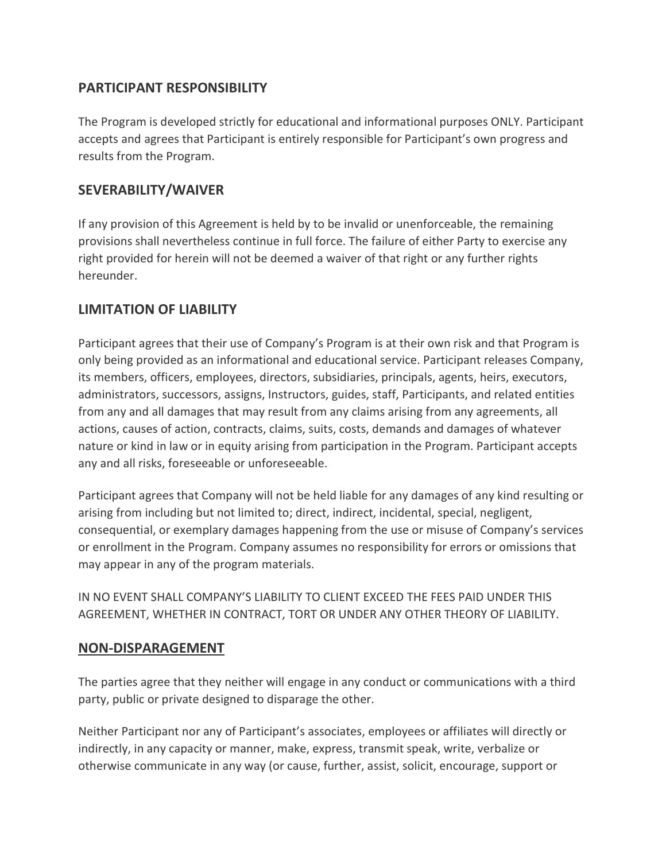#### PARTICIPANT RESPONSIBILITY

The Program is developed strictly for educational and informational purposes ONLY. Participant accepts and agrees that Participant is entirely responsible for Participant's own progress and results from the Program.

#### SEVERABILITY/WAIVER

If any provision of this Agreement is held by to be invalid or unenforceable, the remaining provisions shall nevertheless continue in full force. The failure of either Party to exercise any right provided for herein will not be deemed a waiver of that right or any further rights hereunder.

#### LIMITATION OF LIABILITY

Participant agrees that their use of Company's Program is at their own risk and that Program is only being provided as an informational and educational service. Participant releases Company, its members, officers, employees, directors, subsidiaries, principals, agents, heirs, executors, administrators, successors, assigns, Instructors, guides, staff, Participants, and related entities from any and all damages that may result from any claims arising from any agreements, all actions, causes of action, contracts, claims, suits, costs, demands and damages of whatever nature or kind in law or in equity arising from participation in the Program. Participant accepts any and all risks, foreseeable or unforeseeable.

Participant agrees that Company will not be held liable for any damages of any kind resulting or arising from including but not limited to; direct, indirect, incidental, special, negligent, consequential, or exemplary damages happening from the use or misuse of Company's services or enrollment in the Program. Company assumes no responsibility for errors or omissions that may appear in any of the program materials.

IN NO EVENT SHALL COMPANY'S LIABILITY TO CLIENT EXCEED THE FEES PAID UNDER THIS AGREEMENT, WHETHER IN CONTRACT, TORT OR UNDER ANY OTHER THEORY OF LIABILITY.

#### NON-DISPARAGEMENT

The parties agree that they neither will engage in any conduct or communications with a third party, public or private designed to disparage the other.

Neither Participant nor any of Participant's associates, employees or affiliates will directly or indirectly, in any capacity or manner, make, express, transmit speak, write, verbalize or otherwise communicate in any way (or cause, further, assist, solicit, encourage, support or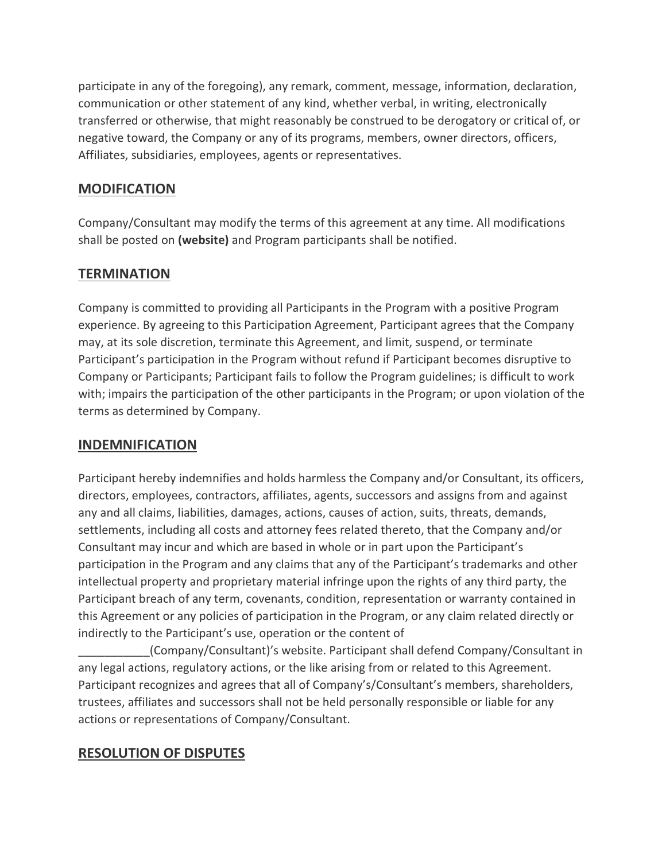participate in any of the foregoing), any remark, comment, message, information, declaration, communication or other statement of any kind, whether verbal, in writing, electronically transferred or otherwise, that might reasonably be construed to be derogatory or critical of, or negative toward, the Company or any of its programs, members, owner directors, officers, Affiliates, subsidiaries, employees, agents or representatives.

#### **MODIFICATION**

Company/Consultant may modify the terms of this agreement at any time. All modifications shall be posted on (website) and Program participants shall be notified.

#### **TERMINATION**

Company is committed to providing all Participants in the Program with a positive Program experience. By agreeing to this Participation Agreement, Participant agrees that the Company may, at its sole discretion, terminate this Agreement, and limit, suspend, or terminate Participant's participation in the Program without refund if Participant becomes disruptive to Company or Participants; Participant fails to follow the Program guidelines; is difficult to work with; impairs the participation of the other participants in the Program; or upon violation of the terms as determined by Company.

#### INDEMNIFICATION

Participant hereby indemnifies and holds harmless the Company and/or Consultant, its officers, directors, employees, contractors, affiliates, agents, successors and assigns from and against any and all claims, liabilities, damages, actions, causes of action, suits, threats, demands, settlements, including all costs and attorney fees related thereto, that the Company and/or Consultant may incur and which are based in whole or in part upon the Participant's participation in the Program and any claims that any of the Participant's trademarks and other intellectual property and proprietary material infringe upon the rights of any third party, the Participant breach of any term, covenants, condition, representation or warranty contained in this Agreement or any policies of participation in the Program, or any claim related directly or indirectly to the Participant's use, operation or the content of

\_\_\_\_\_\_\_\_\_\_\_(Company/Consultant)'s website. Participant shall defend Company/Consultant in any legal actions, regulatory actions, or the like arising from or related to this Agreement. Participant recognizes and agrees that all of Company's/Consultant's members, shareholders, trustees, affiliates and successors shall not be held personally responsible or liable for any actions or representations of Company/Consultant.

#### RESOLUTION OF DISPUTES